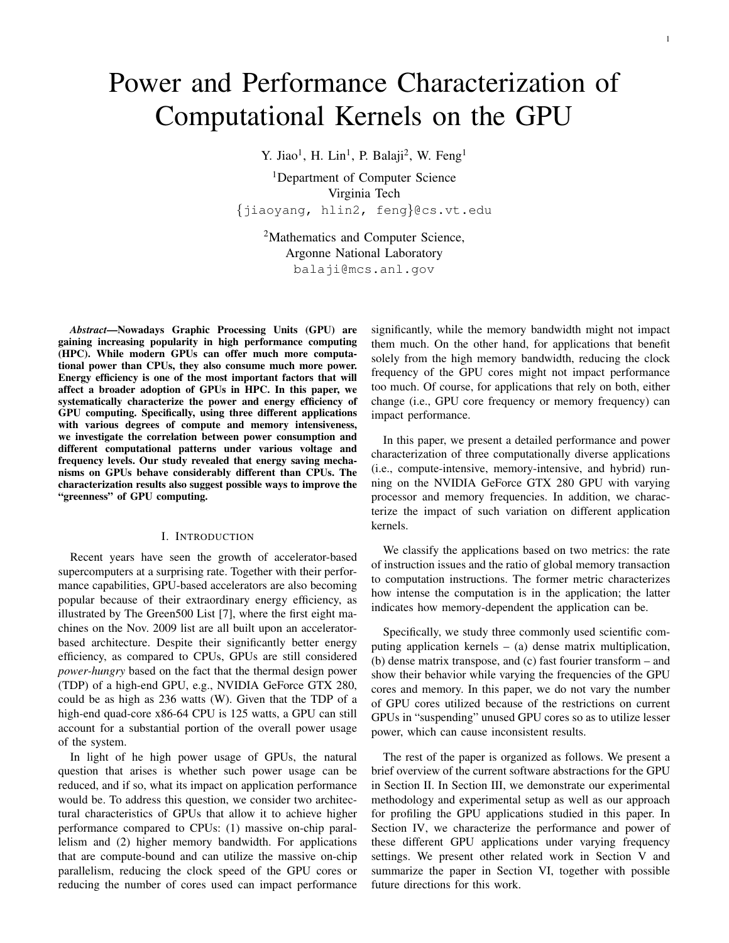# Power and Performance Characterization of Computational Kernels on the GPU

Y. Jiao<sup>1</sup>, H. Lin<sup>1</sup>, P. Balaji<sup>2</sup>, W. Feng<sup>1</sup>

<sup>1</sup>Department of Computer Science Virginia Tech {jiaoyang, hlin2, feng}@cs.vt.edu

<sup>2</sup>Mathematics and Computer Science, Argonne National Laboratory balaji@mcs.anl.gov

*Abstract*—Nowadays Graphic Processing Units (GPU) are gaining increasing popularity in high performance computing (HPC). While modern GPUs can offer much more computational power than CPUs, they also consume much more power. Energy efficiency is one of the most important factors that will affect a broader adoption of GPUs in HPC. In this paper, we systematically characterize the power and energy efficiency of GPU computing. Specifically, using three different applications with various degrees of compute and memory intensiveness, we investigate the correlation between power consumption and different computational patterns under various voltage and frequency levels. Our study revealed that energy saving mechanisms on GPUs behave considerably different than CPUs. The characterization results also suggest possible ways to improve the "greenness" of GPU computing.

### I. INTRODUCTION

Recent years have seen the growth of accelerator-based supercomputers at a surprising rate. Together with their performance capabilities, GPU-based accelerators are also becoming popular because of their extraordinary energy efficiency, as illustrated by The Green500 List [7], where the first eight machines on the Nov. 2009 list are all built upon an acceleratorbased architecture. Despite their significantly better energy efficiency, as compared to CPUs, GPUs are still considered *power-hungry* based on the fact that the thermal design power (TDP) of a high-end GPU, e.g., NVIDIA GeForce GTX 280, could be as high as 236 watts (W). Given that the TDP of a high-end quad-core x86-64 CPU is 125 watts, a GPU can still account for a substantial portion of the overall power usage of the system.

In light of he high power usage of GPUs, the natural question that arises is whether such power usage can be reduced, and if so, what its impact on application performance would be. To address this question, we consider two architectural characteristics of GPUs that allow it to achieve higher performance compared to CPUs: (1) massive on-chip parallelism and (2) higher memory bandwidth. For applications that are compute-bound and can utilize the massive on-chip parallelism, reducing the clock speed of the GPU cores or reducing the number of cores used can impact performance

significantly, while the memory bandwidth might not impact them much. On the other hand, for applications that benefit solely from the high memory bandwidth, reducing the clock frequency of the GPU cores might not impact performance too much. Of course, for applications that rely on both, either change (i.e., GPU core frequency or memory frequency) can impact performance.

In this paper, we present a detailed performance and power characterization of three computationally diverse applications (i.e., compute-intensive, memory-intensive, and hybrid) running on the NVIDIA GeForce GTX 280 GPU with varying processor and memory frequencies. In addition, we characterize the impact of such variation on different application kernels.

We classify the applications based on two metrics: the rate of instruction issues and the ratio of global memory transaction to computation instructions. The former metric characterizes how intense the computation is in the application; the latter indicates how memory-dependent the application can be.

Specifically, we study three commonly used scientific computing application kernels – (a) dense matrix multiplication, (b) dense matrix transpose, and (c) fast fourier transform – and show their behavior while varying the frequencies of the GPU cores and memory. In this paper, we do not vary the number of GPU cores utilized because of the restrictions on current GPUs in "suspending" unused GPU cores so as to utilize lesser power, which can cause inconsistent results.

The rest of the paper is organized as follows. We present a brief overview of the current software abstractions for the GPU in Section II. In Section III, we demonstrate our experimental methodology and experimental setup as well as our approach for profiling the GPU applications studied in this paper. In Section IV, we characterize the performance and power of these different GPU applications under varying frequency settings. We present other related work in Section V and summarize the paper in Section VI, together with possible future directions for this work.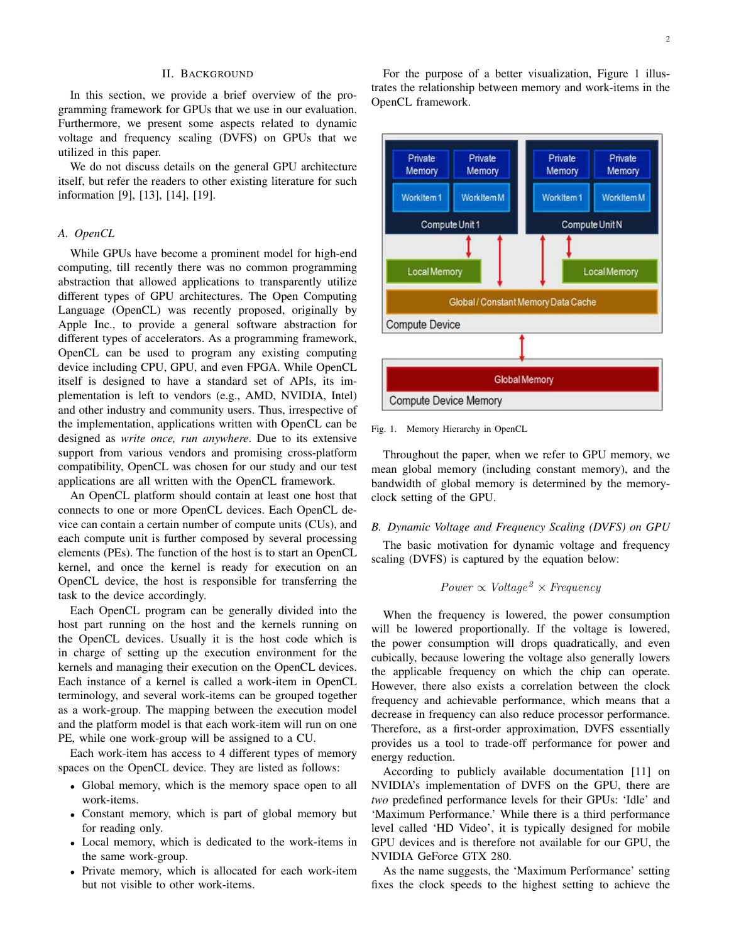### II. BACKGROUND

In this section, we provide a brief overview of the programming framework for GPUs that we use in our evaluation. Furthermore, we present some aspects related to dynamic voltage and frequency scaling (DVFS) on GPUs that we utilized in this paper.

We do not discuss details on the general GPU architecture itself, but refer the readers to other existing literature for such information [9], [13], [14], [19].

# *A. OpenCL*

While GPUs have become a prominent model for high-end computing, till recently there was no common programming abstraction that allowed applications to transparently utilize different types of GPU architectures. The Open Computing Language (OpenCL) was recently proposed, originally by Apple Inc., to provide a general software abstraction for different types of accelerators. As a programming framework, OpenCL can be used to program any existing computing device including CPU, GPU, and even FPGA. While OpenCL itself is designed to have a standard set of APIs, its implementation is left to vendors (e.g., AMD, NVIDIA, Intel) and other industry and community users. Thus, irrespective of the implementation, applications written with OpenCL can be designed as *write once, run anywhere*. Due to its extensive support from various vendors and promising cross-platform compatibility, OpenCL was chosen for our study and our test applications are all written with the OpenCL framework.

An OpenCL platform should contain at least one host that connects to one or more OpenCL devices. Each OpenCL device can contain a certain number of compute units (CUs), and each compute unit is further composed by several processing elements (PEs). The function of the host is to start an OpenCL kernel, and once the kernel is ready for execution on an OpenCL device, the host is responsible for transferring the task to the device accordingly.

Each OpenCL program can be generally divided into the host part running on the host and the kernels running on the OpenCL devices. Usually it is the host code which is in charge of setting up the execution environment for the kernels and managing their execution on the OpenCL devices. Each instance of a kernel is called a work-item in OpenCL terminology, and several work-items can be grouped together as a work-group. The mapping between the execution model and the platform model is that each work-item will run on one PE, while one work-group will be assigned to a CU.

Each work-item has access to 4 different types of memory spaces on the OpenCL device. They are listed as follows:

- Global memory, which is the memory space open to all work-items.
- Constant memory, which is part of global memory but for reading only.
- Local memory, which is dedicated to the work-items in the same work-group.
- Private memory, which is allocated for each work-item but not visible to other work-items.

For the purpose of a better visualization, Figure 1 illustrates the relationship between memory and work-items in the OpenCL framework.



Fig. 1. Memory Hierarchy in OpenCL

Throughout the paper, when we refer to GPU memory, we mean global memory (including constant memory), and the bandwidth of global memory is determined by the memoryclock setting of the GPU.

#### *B. Dynamic Voltage and Frequency Scaling (DVFS) on GPU*

The basic motivation for dynamic voltage and frequency scaling (DVFS) is captured by the equation below:

$$
Power \propto Voltage^2 \times Frequency
$$

When the frequency is lowered, the power consumption will be lowered proportionally. If the voltage is lowered, the power consumption will drops quadratically, and even cubically, because lowering the voltage also generally lowers the applicable frequency on which the chip can operate. However, there also exists a correlation between the clock frequency and achievable performance, which means that a decrease in frequency can also reduce processor performance. Therefore, as a first-order approximation, DVFS essentially provides us a tool to trade-off performance for power and energy reduction.

According to publicly available documentation [11] on NVIDIA's implementation of DVFS on the GPU, there are *two* predefined performance levels for their GPUs: 'Idle' and 'Maximum Performance.' While there is a third performance level called 'HD Video', it is typically designed for mobile GPU devices and is therefore not available for our GPU, the NVIDIA GeForce GTX 280.

As the name suggests, the 'Maximum Performance' setting fixes the clock speeds to the highest setting to achieve the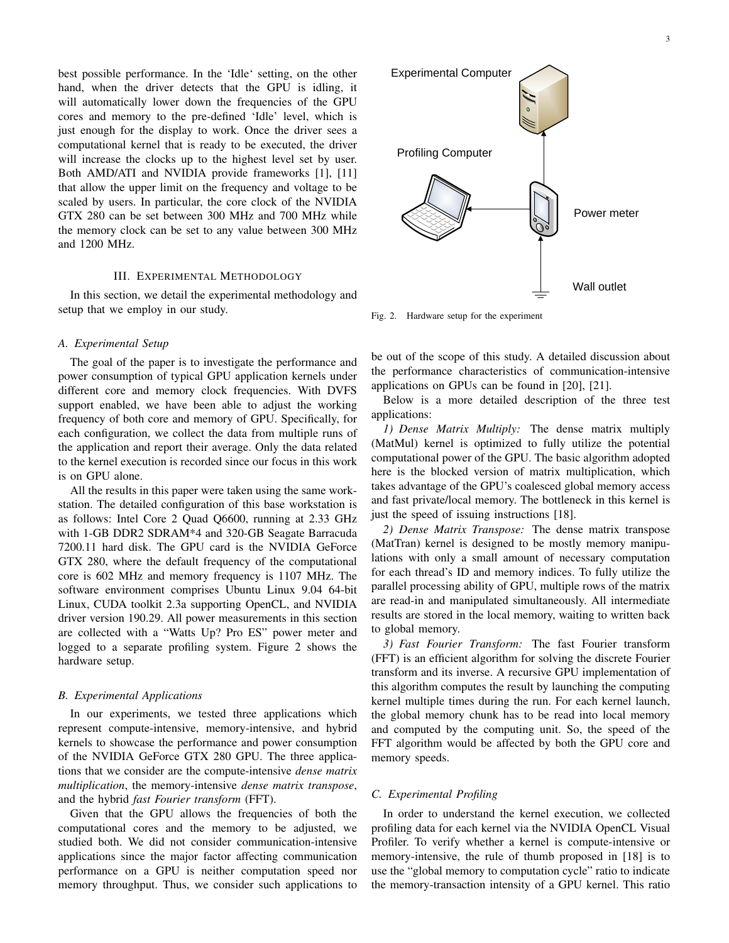best possible performance. In the 'Idle' setting, on the other hand, when the driver detects that the GPU is idling, it will automatically lower down the frequencies of the GPU cores and memory to the pre-defined 'Idle' level, which is just enough for the display to work. Once the driver sees a computational kernel that is ready to be executed, the driver will increase the clocks up to the highest level set by user. Both AMD/ATI and NVIDIA provide frameworks [1], [11] that allow the upper limit on the frequency and voltage to be scaled by users. In particular, the core clock of the NVIDIA GTX 280 can be set between 300 MHz and 700 MHz while the memory clock can be set to any value between 300 MHz and 1200 MHz.

#### III. EXPERIMENTAL METHODOLOGY

In this section, we detail the experimental methodology and setup that we employ in our study.

### *A. Experimental Setup*

The goal of the paper is to investigate the performance and power consumption of typical GPU application kernels under different core and memory clock frequencies. With DVFS support enabled, we have been able to adjust the working frequency of both core and memory of GPU. Specifically, for each configuration, we collect the data from multiple runs of the application and report their average. Only the data related to the kernel execution is recorded since our focus in this work is on GPU alone.

All the results in this paper were taken using the same workstation. The detailed configuration of this base workstation is as follows: Intel Core 2 Quad Q6600, running at 2.33 GHz with 1-GB DDR2 SDRAM\*4 and 320-GB Seagate Barracuda 7200.11 hard disk. The GPU card is the NVIDIA GeForce GTX 280, where the default frequency of the computational core is 602 MHz and memory frequency is 1107 MHz. The software environment comprises Ubuntu Linux 9.04 64-bit Linux, CUDA toolkit 2.3a supporting OpenCL, and NVIDIA driver version 190.29. All power measurements in this section are collected with a "Watts Up? Pro ES" power meter and logged to a separate profiling system. Figure 2 shows the hardware setup.

# *B. Experimental Applications*

In our experiments, we tested three applications which represent compute-intensive, memory-intensive, and hybrid kernels to showcase the performance and power consumption of the NVIDIA GeForce GTX 280 GPU. The three applications that we consider are the compute-intensive *dense matrix multiplication*, the memory-intensive *dense matrix transpose*, and the hybrid *fast Fourier transform* (FFT).

Given that the GPU allows the frequencies of both the computational cores and the memory to be adjusted, we studied both. We did not consider communication-intensive applications since the major factor affecting communication performance on a GPU is neither computation speed nor memory throughput. Thus, we consider such applications to



Fig. 2. Hardware setup for the experiment

be out of the scope of this study. A detailed discussion about the performance characteristics of communication-intensive applications on GPUs can be found in [20], [21].

Below is a more detailed description of the three test applications:

*1) Dense Matrix Multiply:* The dense matrix multiply (MatMul) kernel is optimized to fully utilize the potential computational power of the GPU. The basic algorithm adopted here is the blocked version of matrix multiplication, which takes advantage of the GPU's coalesced global memory access and fast private/local memory. The bottleneck in this kernel is just the speed of issuing instructions [18].

*2) Dense Matrix Transpose:* The dense matrix transpose (MatTran) kernel is designed to be mostly memory manipulations with only a small amount of necessary computation for each thread's ID and memory indices. To fully utilize the parallel processing ability of GPU, multiple rows of the matrix are read-in and manipulated simultaneously. All intermediate results are stored in the local memory, waiting to written back to global memory.

*3) Fast Fourier Transform:* The fast Fourier transform (FFT) is an efficient algorithm for solving the discrete Fourier transform and its inverse. A recursive GPU implementation of this algorithm computes the result by launching the computing kernel multiple times during the run. For each kernel launch, the global memory chunk has to be read into local memory and computed by the computing unit. So, the speed of the FFT algorithm would be affected by both the GPU core and memory speeds.

# *C. Experimental Profiling*

In order to understand the kernel execution, we collected profiling data for each kernel via the NVIDIA OpenCL Visual Profiler. To verify whether a kernel is compute-intensive or memory-intensive, the rule of thumb proposed in [18] is to use the "global memory to computation cycle" ratio to indicate the memory-transaction intensity of a GPU kernel. This ratio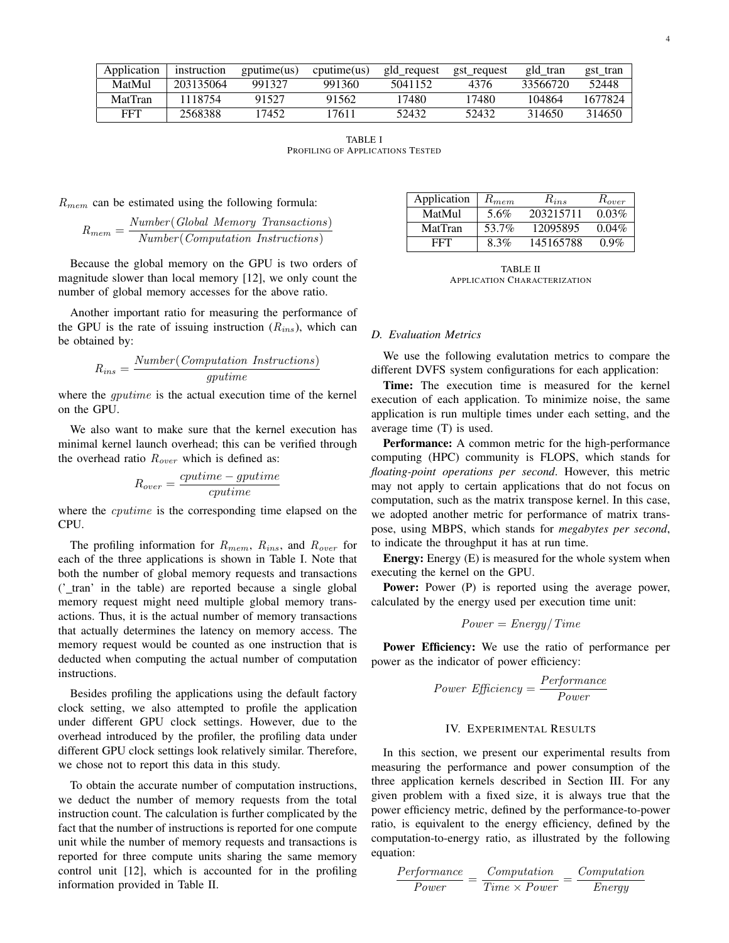| Application | instruction | gputime(us) | $\text{cputime}(us)$ | gld_request gst_request |       | gld tran | gst tran |
|-------------|-------------|-------------|----------------------|-------------------------|-------|----------|----------|
| MatMul      | 203135064   | 991327      | 991360               | 5041152                 | 4376  | 33566720 | 52448    |
| MatTran     | 1118754     | 91527       | 91562                | 17480                   | 17480 | 104864   | 1677824  |
| FFT         | 2568388     | 17452.      | 17611                | 52432                   | 52432 | 314650   | 314650   |

TABLE I PROFILING OF APPLICATIONS TESTED

 $R_{mem}$  can be estimated using the following formula:

$$
R_{mem} = \frac{Number(Global Memory Transactions)}{Number(Computation Instruments)}
$$

Because the global memory on the GPU is two orders of magnitude slower than local memory [12], we only count the number of global memory accesses for the above ratio.

Another important ratio for measuring the performance of the GPU is the rate of issuing instruction  $(R_{ins})$ , which can be obtained by:

$$
R_{ins} = \frac{Number(Computation~Instructions)}{gputime}
$$

where the *qputime* is the actual execution time of the kernel on the GPU.

We also want to make sure that the kernel execution has minimal kernel launch overhead; this can be verified through the overhead ratio  $R_{over}$  which is defined as:

$$
R_{over} = \frac{cputime - gputime}{cputime}
$$

where the *cputime* is the corresponding time elapsed on the CPU.

The profiling information for  $R_{mem}$ ,  $R_{ins}$ , and  $R_{over}$  for each of the three applications is shown in Table I. Note that both the number of global memory requests and transactions ('\_tran' in the table) are reported because a single global memory request might need multiple global memory transactions. Thus, it is the actual number of memory transactions that actually determines the latency on memory access. The memory request would be counted as one instruction that is deducted when computing the actual number of computation instructions.

Besides profiling the applications using the default factory clock setting, we also attempted to profile the application under different GPU clock settings. However, due to the overhead introduced by the profiler, the profiling data under different GPU clock settings look relatively similar. Therefore, we chose not to report this data in this study.

To obtain the accurate number of computation instructions, we deduct the number of memory requests from the total instruction count. The calculation is further complicated by the fact that the number of instructions is reported for one compute unit while the number of memory requests and transactions is reported for three compute units sharing the same memory control unit [12], which is accounted for in the profiling information provided in Table II.

| Application | $R_{mem}$ | $R_{ins}$ | $R_{over}$ |
|-------------|-----------|-----------|------------|
| MatMul      | 5.6%      | 203215711 | $0.03\%$   |
| MatTran     | 53.7%     | 12095895  | $0.04\%$   |
| FFT         | 8.3%      | 145165788 | $0.9\%$    |

TABLE II APPLICATION CHARACTERIZATION

## *D. Evaluation Metrics*

We use the following evalutation metrics to compare the different DVFS system configurations for each application:

Time: The execution time is measured for the kernel execution of each application. To minimize noise, the same application is run multiple times under each setting, and the average time (T) is used.

Performance: A common metric for the high-performance computing (HPC) community is FLOPS, which stands for *floating-point operations per second*. However, this metric may not apply to certain applications that do not focus on computation, such as the matrix transpose kernel. In this case, we adopted another metric for performance of matrix transpose, using MBPS, which stands for *megabytes per second*, to indicate the throughput it has at run time.

Energy: Energy (E) is measured for the whole system when executing the kernel on the GPU.

Power: Power (P) is reported using the average power, calculated by the energy used per execution time unit:

$$
Power = Energy / Time
$$

Power Efficiency: We use the ratio of performance per power as the indicator of power efficiency:

$$
Power \ \textit{Efficiency} = \frac{Performance}{Power}
$$

## IV. EXPERIMENTAL RESULTS

In this section, we present our experimental results from measuring the performance and power consumption of the three application kernels described in Section III. For any given problem with a fixed size, it is always true that the power efficiency metric, defined by the performance-to-power ratio, is equivalent to the energy efficiency, defined by the computation-to-energy ratio, as illustrated by the following equation:

$$
\frac{Performance}{Power} = \frac{Computation}{Time \times Power} = \frac{Computation}{Energy}
$$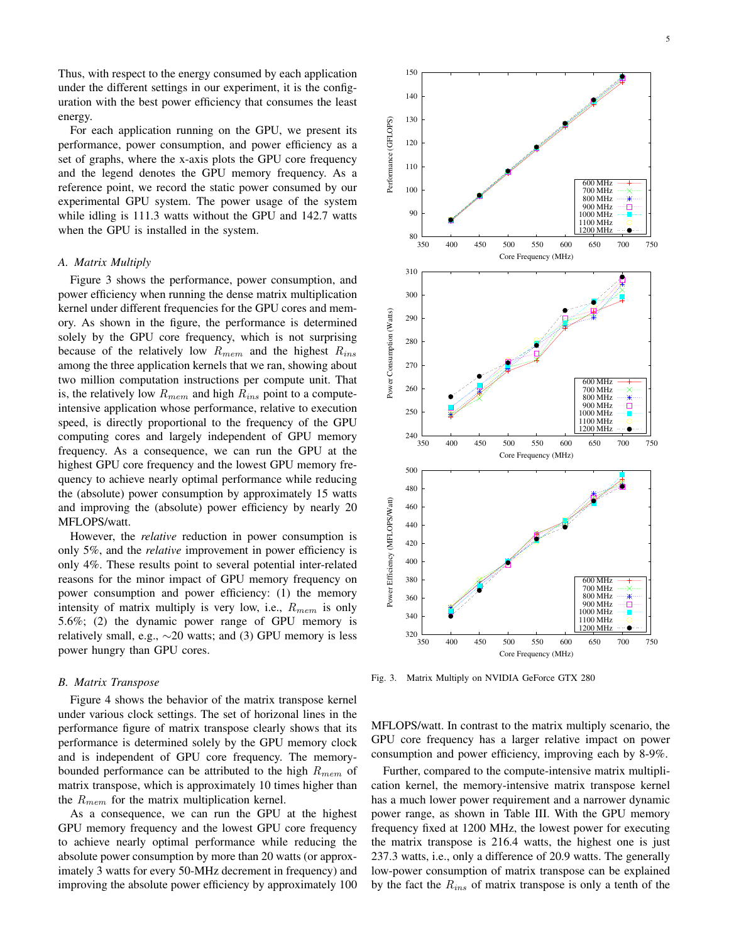Thus, with respect to the energy consumed by each application under the different settings in our experiment, it is the configuration with the best power efficiency that consumes the least energy.

For each application running on the GPU, we present its performance, power consumption, and power efficiency as a set of graphs, where the x-axis plots the GPU core frequency and the legend denotes the GPU memory frequency. As a reference point, we record the static power consumed by our experimental GPU system. The power usage of the system while idling is 111.3 watts without the GPU and 142.7 watts when the GPU is installed in the system.

#### *A. Matrix Multiply*

Figure 3 shows the performance, power consumption, and power efficiency when running the dense matrix multiplication kernel under different frequencies for the GPU cores and memory. As shown in the figure, the performance is determined solely by the GPU core frequency, which is not surprising because of the relatively low  $R_{mem}$  and the highest  $R_{ins}$ among the three application kernels that we ran, showing about two million computation instructions per compute unit. That is, the relatively low  $R_{mem}$  and high  $R_{ins}$  point to a computeintensive application whose performance, relative to execution speed, is directly proportional to the frequency of the GPU computing cores and largely independent of GPU memory frequency. As a consequence, we can run the GPU at the highest GPU core frequency and the lowest GPU memory frequency to achieve nearly optimal performance while reducing the (absolute) power consumption by approximately 15 watts and improving the (absolute) power efficiency by nearly 20 MFLOPS/watt.

However, the *relative* reduction in power consumption is only 5%, and the *relative* improvement in power efficiency is only 4%. These results point to several potential inter-related reasons for the minor impact of GPU memory frequency on power consumption and power efficiency: (1) the memory intensity of matrix multiply is very low, i.e.,  $R_{mem}$  is only 5.6%; (2) the dynamic power range of GPU memory is relatively small, e.g.,  $\sim$ 20 watts; and (3) GPU memory is less power hungry than GPU cores.

#### *B. Matrix Transpose*

Figure 4 shows the behavior of the matrix transpose kernel under various clock settings. The set of horizonal lines in the performance figure of matrix transpose clearly shows that its performance is determined solely by the GPU memory clock and is independent of GPU core frequency. The memorybounded performance can be attributed to the high  $R_{mem}$  of matrix transpose, which is approximately 10 times higher than the  $R_{mem}$  for the matrix multiplication kernel.

As a consequence, we can run the GPU at the highest GPU memory frequency and the lowest GPU core frequency to achieve nearly optimal performance while reducing the absolute power consumption by more than 20 watts (or approximately 3 watts for every 50-MHz decrement in frequency) and improving the absolute power efficiency by approximately 100



Fig. 3. Matrix Multiply on NVIDIA GeForce GTX 280

MFLOPS/watt. In contrast to the matrix multiply scenario, the GPU core frequency has a larger relative impact on power consumption and power efficiency, improving each by 8-9%.

Further, compared to the compute-intensive matrix multiplication kernel, the memory-intensive matrix transpose kernel has a much lower power requirement and a narrower dynamic power range, as shown in Table III. With the GPU memory frequency fixed at 1200 MHz, the lowest power for executing the matrix transpose is 216.4 watts, the highest one is just 237.3 watts, i.e., only a difference of 20.9 watts. The generally low-power consumption of matrix transpose can be explained by the fact the  $R_{ins}$  of matrix transpose is only a tenth of the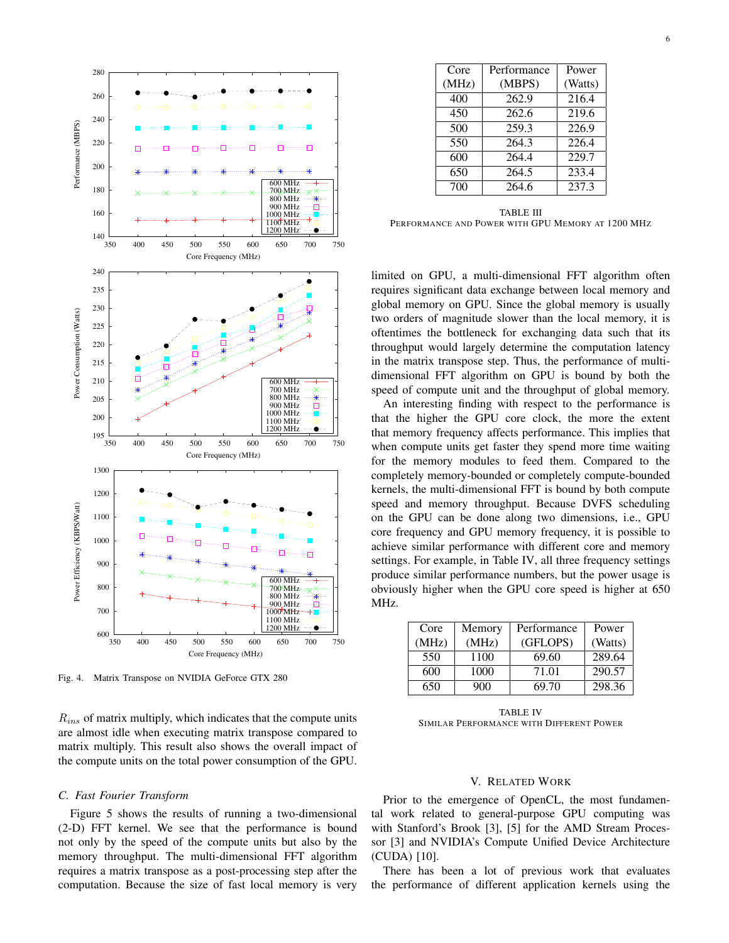

Fig. 4. Matrix Transpose on NVIDIA GeForce GTX 280

 $R_{ins}$  of matrix multiply, which indicates that the compute units are almost idle when executing matrix transpose compared to matrix multiply. This result also shows the overall impact of the compute units on the total power consumption of the GPU.

#### *C. Fast Fourier Transform*

Figure 5 shows the results of running a two-dimensional (2-D) FFT kernel. We see that the performance is bound not only by the speed of the compute units but also by the memory throughput. The multi-dimensional FFT algorithm requires a matrix transpose as a post-processing step after the computation. Because the size of fast local memory is very

| Core  | Performance | Power   |
|-------|-------------|---------|
| (MHz) | (MBPS)      | (Watts) |
| 400   | 262.9       | 216.4   |
| 450   | 262.6       | 219.6   |
| 500   | 259.3       | 226.9   |
| 550   | 264.3       | 226.4   |
| 600   | 264.4       | 229.7   |
| 650   | 264.5       | 233.4   |
| 700   | 264.6       | 237.3   |

TABLE III PERFORMANCE AND POWER WITH GPU MEMORY AT 1200 MHZ

limited on GPU, a multi-dimensional FFT algorithm often requires significant data exchange between local memory and global memory on GPU. Since the global memory is usually two orders of magnitude slower than the local memory, it is oftentimes the bottleneck for exchanging data such that its throughput would largely determine the computation latency in the matrix transpose step. Thus, the performance of multidimensional FFT algorithm on GPU is bound by both the speed of compute unit and the throughput of global memory.

An interesting finding with respect to the performance is that the higher the GPU core clock, the more the extent that memory frequency affects performance. This implies that when compute units get faster they spend more time waiting for the memory modules to feed them. Compared to the completely memory-bounded or completely compute-bounded kernels, the multi-dimensional FFT is bound by both compute speed and memory throughput. Because DVFS scheduling on the GPU can be done along two dimensions, i.e., GPU core frequency and GPU memory frequency, it is possible to achieve similar performance with different core and memory settings. For example, in Table IV, all three frequency settings produce similar performance numbers, but the power usage is obviously higher when the GPU core speed is higher at 650 MHz.

| Core  | Memory | Performance | Power   |
|-------|--------|-------------|---------|
| (MHz) | (MHz)  | (GFLOPS)    | (Watts) |
| 550   | 1100   | 69.60       | 289.64  |
| 600   | 1000   | 71.01       | 290.57  |
| 650   | 900    | 69.70       | 298.36  |
|       |        |             |         |

TABLE IV SIMILAR PERFORMANCE WITH DIFFERENT POWER

# V. RELATED WORK

Prior to the emergence of OpenCL, the most fundamental work related to general-purpose GPU computing was with Stanford's Brook [3], [5] for the AMD Stream Processor [3] and NVIDIA's Compute Unified Device Architecture (CUDA) [10].

There has been a lot of previous work that evaluates the performance of different application kernels using the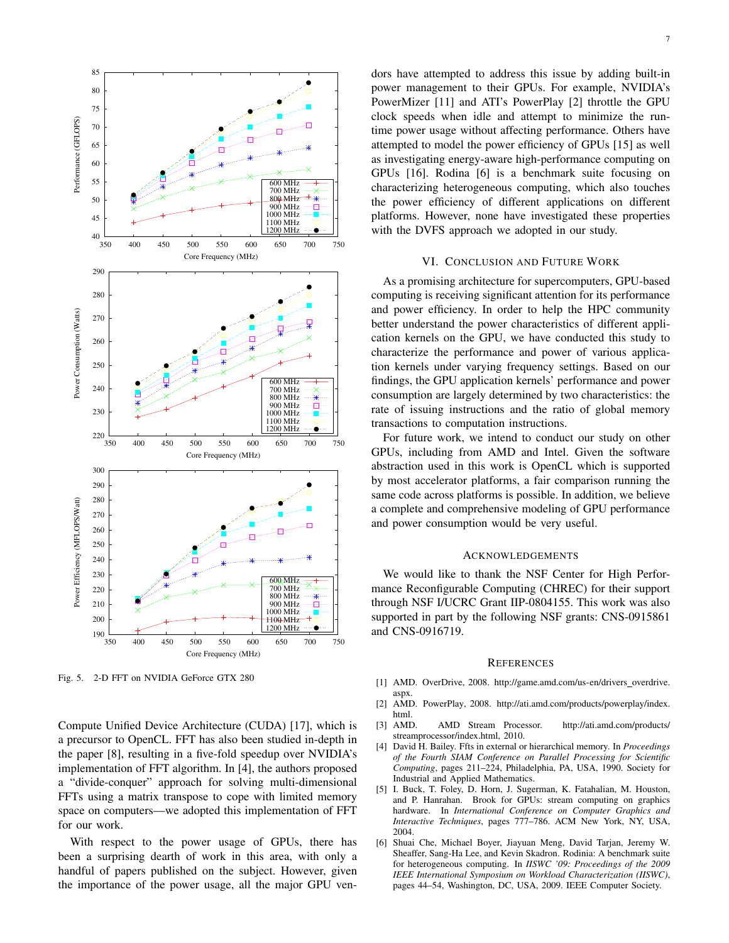

Fig. 5. 2-D FFT on NVIDIA GeForce GTX 280

Compute Unified Device Architecture (CUDA) [17], which is a precursor to OpenCL. FFT has also been studied in-depth in the paper [8], resulting in a five-fold speedup over NVIDIA's implementation of FFT algorithm. In [4], the authors proposed a "divide-conquer" approach for solving multi-dimensional FFTs using a matrix transpose to cope with limited memory space on computers—we adopted this implementation of FFT for our work.

With respect to the power usage of GPUs, there has been a surprising dearth of work in this area, with only a handful of papers published on the subject. However, given the importance of the power usage, all the major GPU vendors have attempted to address this issue by adding built-in power management to their GPUs. For example, NVIDIA's PowerMizer [11] and ATI's PowerPlay [2] throttle the GPU clock speeds when idle and attempt to minimize the runtime power usage without affecting performance. Others have attempted to model the power efficiency of GPUs [15] as well as investigating energy-aware high-performance computing on GPUs [16]. Rodina [6] is a benchmark suite focusing on characterizing heterogeneous computing, which also touches the power efficiency of different applications on different platforms. However, none have investigated these properties with the DVFS approach we adopted in our study.

#### VI. CONCLUSION AND FUTURE WORK

As a promising architecture for supercomputers, GPU-based computing is receiving significant attention for its performance and power efficiency. In order to help the HPC community better understand the power characteristics of different application kernels on the GPU, we have conducted this study to characterize the performance and power of various application kernels under varying frequency settings. Based on our findings, the GPU application kernels' performance and power consumption are largely determined by two characteristics: the rate of issuing instructions and the ratio of global memory transactions to computation instructions.

For future work, we intend to conduct our study on other GPUs, including from AMD and Intel. Given the software abstraction used in this work is OpenCL which is supported by most accelerator platforms, a fair comparison running the same code across platforms is possible. In addition, we believe a complete and comprehensive modeling of GPU performance and power consumption would be very useful.

#### ACKNOWLEDGEMENTS

We would like to thank the NSF Center for High Performance Reconfigurable Computing (CHREC) for their support through NSF I/UCRC Grant IIP-0804155. This work was also supported in part by the following NSF grants: CNS-0915861 and CNS-0916719.

#### **REFERENCES**

- [1] AMD. OverDrive, 2008. http://game.amd.com/us-en/drivers\_overdrive. aspx.
- [2] AMD. PowerPlay, 2008. http://ati.amd.com/products/powerplay/index. html.
- [3] AMD. AMD Stream Processor. http://ati.amd.com/products/ streamprocessor/index.html, 2010.
- [4] David H. Bailey. Ffts in external or hierarchical memory. In *Proceedings of the Fourth SIAM Conference on Parallel Processing for Scientific Computing*, pages 211–224, Philadelphia, PA, USA, 1990. Society for Industrial and Applied Mathematics.
- [5] I. Buck, T. Foley, D. Horn, J. Sugerman, K. Fatahalian, M. Houston, and P. Hanrahan. Brook for GPUs: stream computing on graphics hardware. In *International Conference on Computer Graphics and Interactive Techniques*, pages 777–786. ACM New York, NY, USA, 2004.
- [6] Shuai Che, Michael Boyer, Jiayuan Meng, David Tarjan, Jeremy W. Sheaffer, Sang-Ha Lee, and Kevin Skadron. Rodinia: A benchmark suite for heterogeneous computing. In *IISWC '09: Proceedings of the 2009 IEEE International Symposium on Workload Characterization (IISWC)*, pages 44–54, Washington, DC, USA, 2009. IEEE Computer Society.